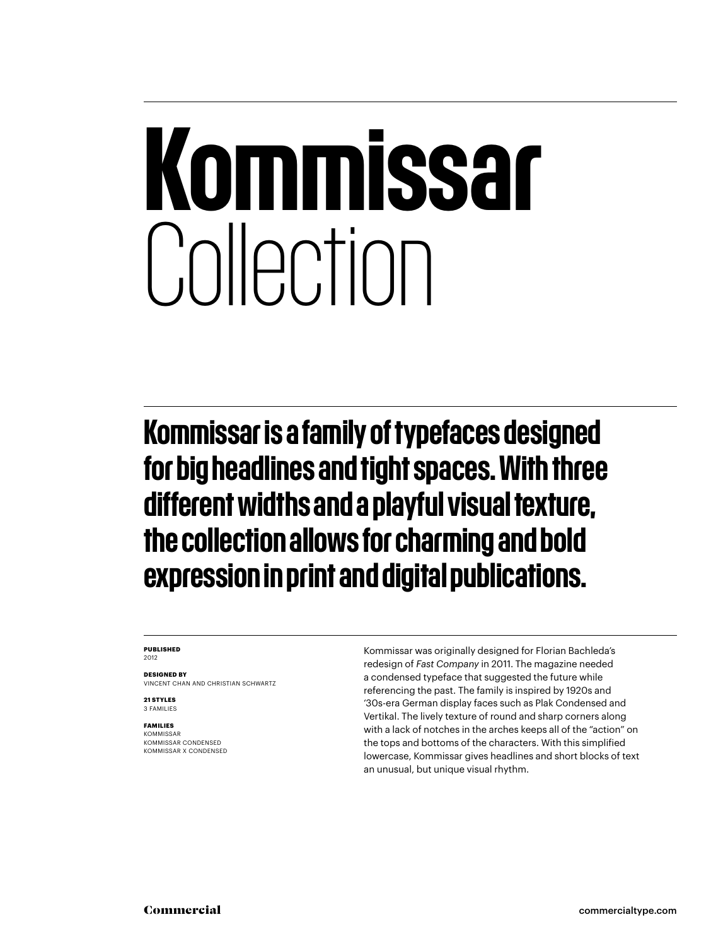## Kommissar Collection

Kommissar is a family of typefaces designed for big headlines and tight spaces. With three different widths and a playful visual texture, the collection allows for charming and bold expression in print and digital publications.

#### **PUBLISHED** 2012

**DESIGNED BY** VINCENT CHAN AND CHRISTIAN SCHWARTZ

**21 STYLES** 3 FAMILIES

#### **FAMILIES**

**KOMMISSAR** KOMMISSAR CONDENSED KOMMISSAR X CONDENSED

Kommissar was originally designed for Florian Bachleda's redesign of *Fast Company* in 2011. The magazine needed a condensed typeface that suggested the future while referencing the past. The family is inspired by 1920s and '30s-era German display faces such as Plak Condensed and Vertikal. The lively texture of round and sharp corners along with a lack of notches in the arches keeps all of the "action" on the tops and bottoms of the characters. With this simplified lowercase, Kommissar gives headlines and short blocks of text an unusual, but unique visual rhythm.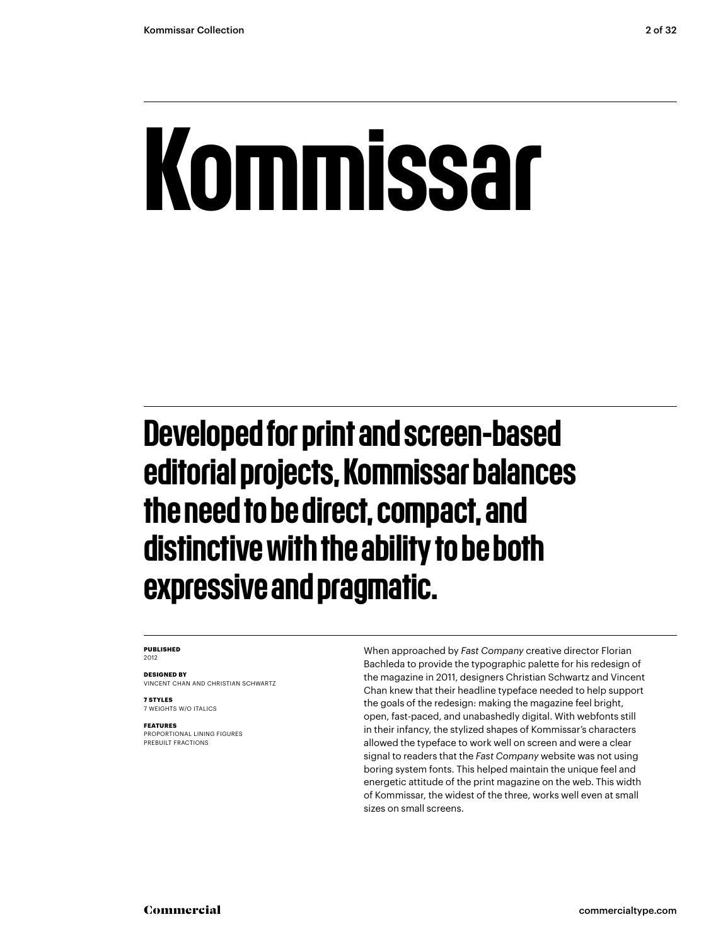## Kommissar

Developed for print and screen-based editorial projects, Kommissar balances the need to be direct, compact, and distinctive with the ability to be both expressive and pragmatic.

#### **PUBLISHED** 2012

**DESIGNED BY** VINCENT CHAN AND CHRISTIAN SCHWARTZ

**7 STYLES** 7 WEIGHTS W/O ITALICS

**FEATURES**

PROPORTIONAL LINING FIGURES PREBUILT FRACTIONS

When approached by *Fast Company* creative director Florian Bachleda to provide the typographic palette for his redesign of the magazine in 2011, designers Christian Schwartz and Vincent Chan knew that their headline typeface needed to help support the goals of the redesign: making the magazine feel bright, open, fast-paced, and unabashedly digital. With webfonts still in their infancy, the stylized shapes of Kommissar's characters allowed the typeface to work well on screen and were a clear signal to readers that the *Fast Company* website was not using boring system fonts. This helped maintain the unique feel and energetic attitude of the print magazine on the web. This width of Kommissar, the widest of the three, works well even at small sizes on small screens.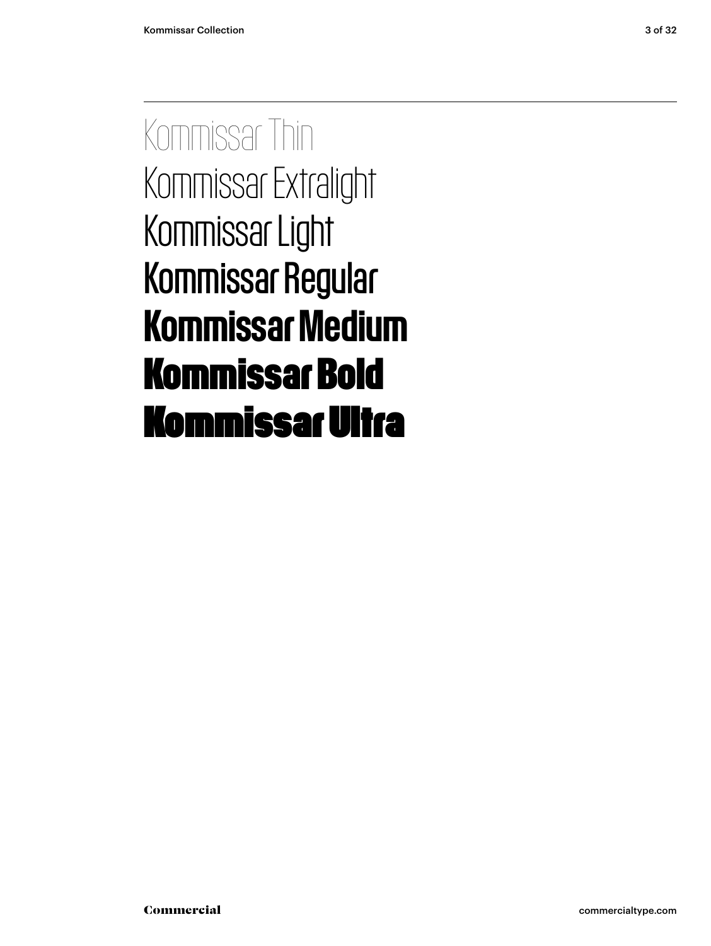Kommissar Thin Kommissar Extralight Kommissar Light Kommissar Regular Kommissar Medium **Kommissar Bold** Kommissar Ultra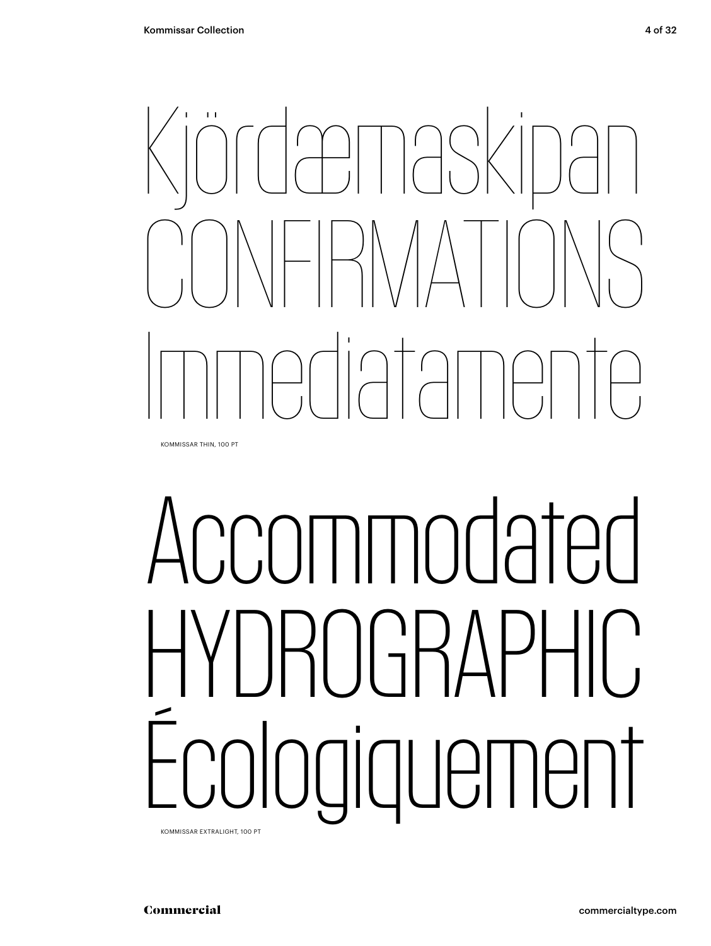

KOMMISSAR THIN, 100 PT

# CCOMMOdated HYDROGRAPHIC Écologiquement

KOMMISSAR EXTRALIGHT, 100 PT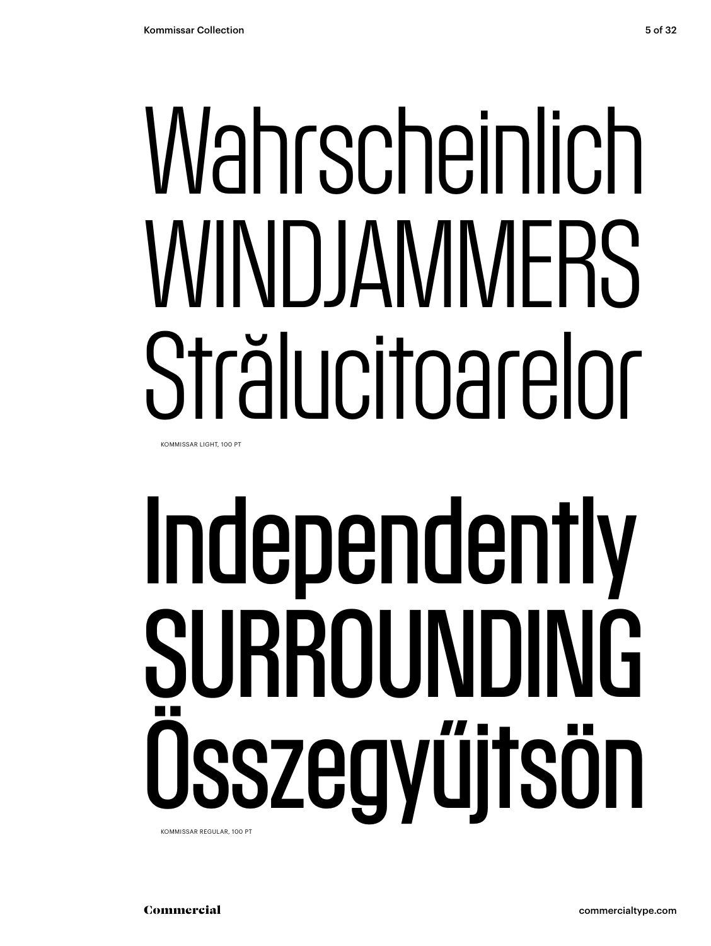## Wahrscheinlich WINDJAMMERS Strălucitoarelor KOMMISSAR LIGHT, 100 PT

# Independently SURROUNDING Összegyűjtsön

KOMMISSAR REGULAR, 100 PT

Commercial commercialtype.com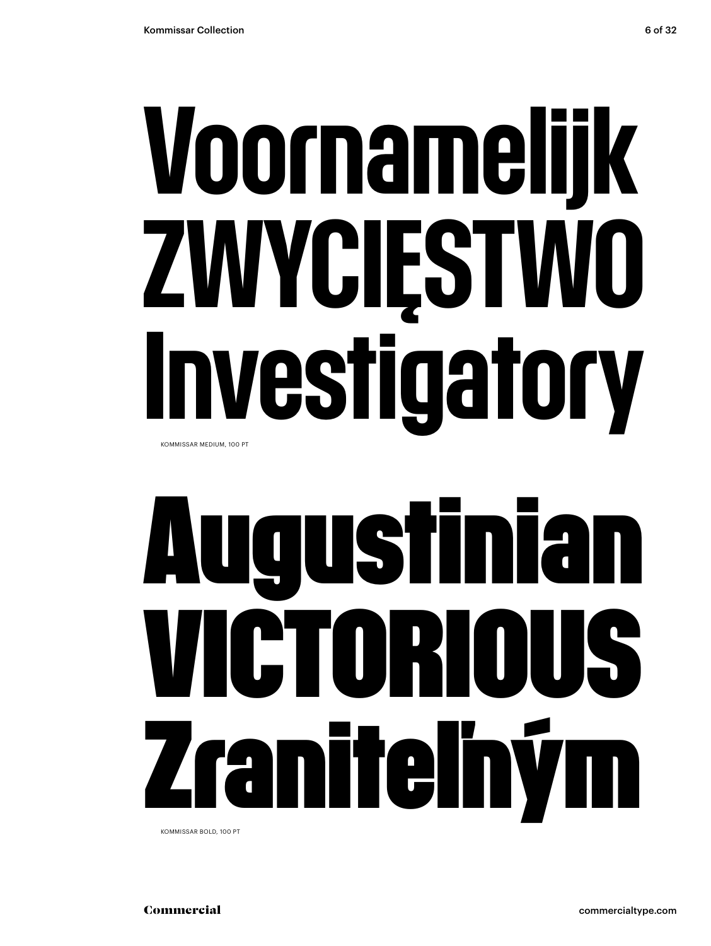# Voornamelijk ZWYCIĘSTWO

KOMMISSAR MEDIUM, 100 PT

# **Augustinian VICTORIOUS Zraniteľným**

Investigatory

KOMMISSAR BOLD, 100 PT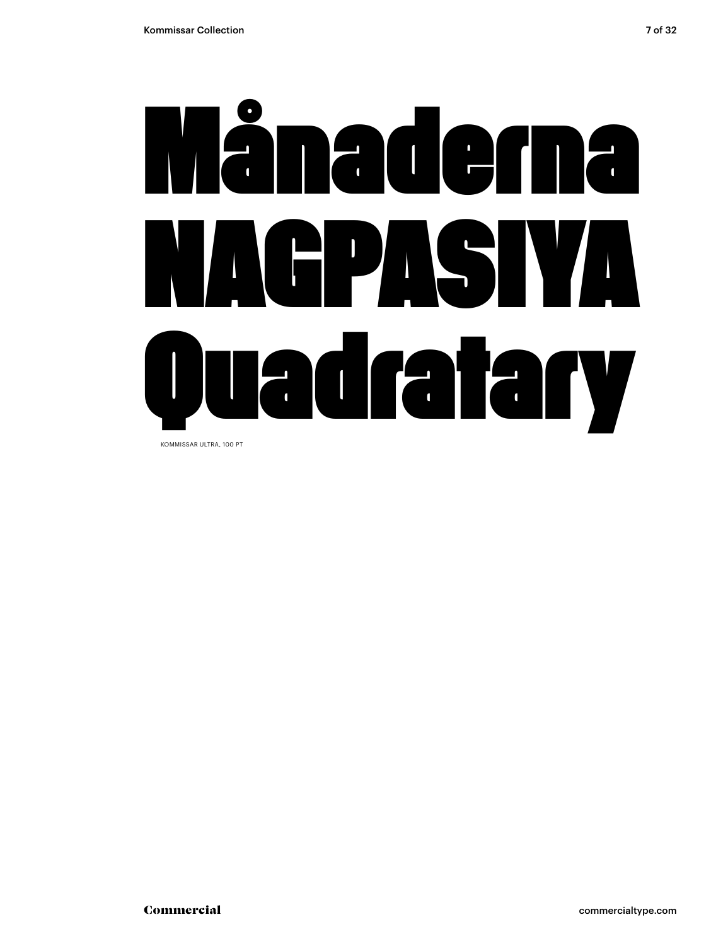

KOMMISSAR ULTRA, 100 PT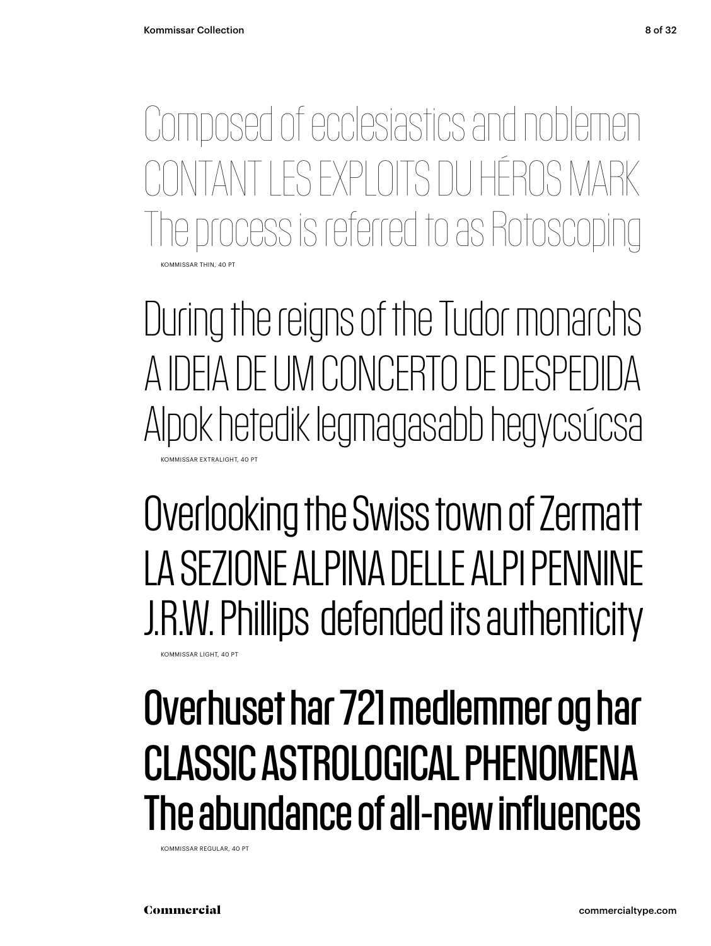KOMMISSAR THIN, 40 PT Composed of ecclesiastics and noblemen TI ES EXPLOITS DU HÉROS MARK ocess is referred to as Rotosco

During the reigns of the Tudor monarchs A IDEIA DE UM CONCERTO DE DESPEDIDA Alpok hetedik legmagasabb hegycsúcsa KOMMISSAR EXTRALIGHT, 40 PT

Overlooking the Swiss town of Zermatt LA SEZIONE ALPINA DELLE ALPI PENNINE J.R.W. Phillips defended its authenticity

Overhuset har 721 medlemmer og har CLASSIC ASTROLOGICAL PHENOMENA The abundance of all-new influences

KOMMISSAR REGULAR, 40 PT

KOMMISSAR LIGHT, 40 PT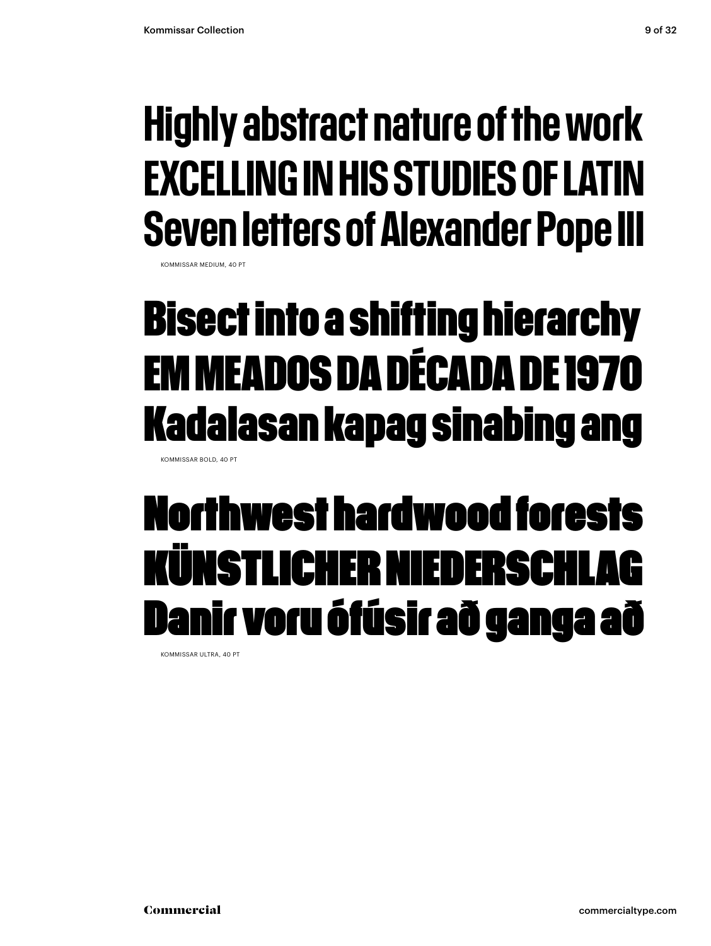### Highly abstract nature of the work EXCELLING IN HIS STUDIES OF LATIN Seven letters of Alexander Pope III

KOMMISSAR MEDIUM, 40 PT

### **Bisect into a shifting hierarchy EM MEADOS DA DÉCADA DE 1970 Kadalasan kapag sinabing ang**

KOMMISSAR BOLD, 40 PT

### Northwest hardwood forests KÜNSTLICHER NIEDERS Danir voru ófúsir að ganga að

KOMMISSAR ULTRA, 40 PT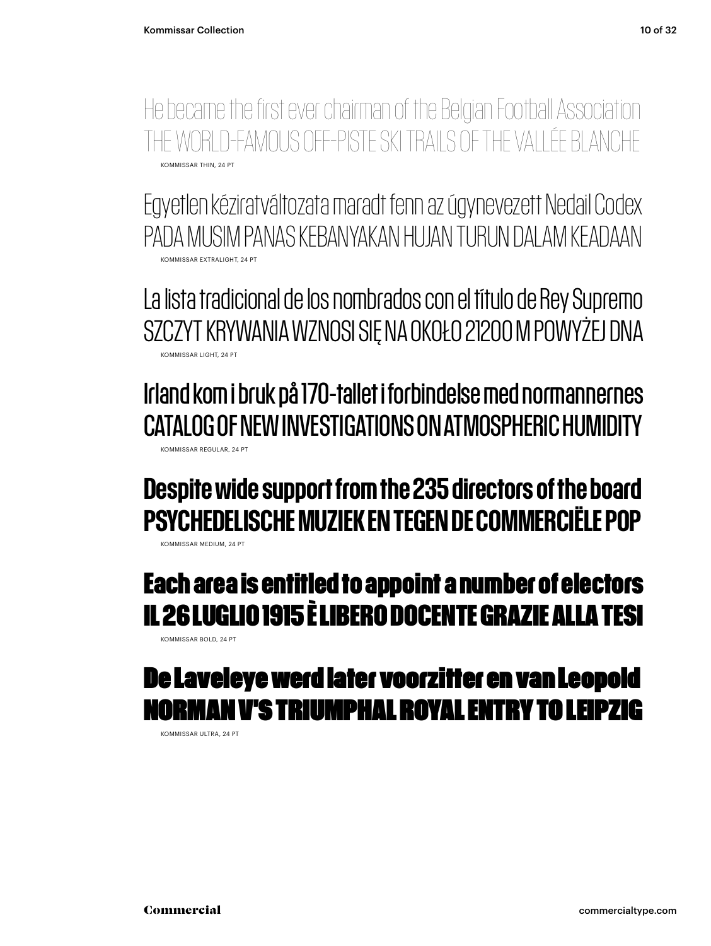He became the first ever chairman of the Belgian Football Association THE WORLD-FAMOUS OFF-PISTE SKI TRAILS OF THE VALLÉE BLANCHE KOMMISSAR THIN, 24 PT

Egyetlen kéziratváltozata maradt fenn az úgynevezett Nedail Codex PADA MUSIM PANAS KEBANYAKAN HUJAN TURUN DALAM KEADAAN KOMMISSAR EXTRALIGHT, 24 PT

La lista tradicional de los nombrados con el título de Rey Supremo SZCZYT KRYWANIA WZNOSI SIĘ NA OKOŁO 21200 M POWYŻEJ DNA KOMMISSAR LIGHT, 24 PT

Irland kom i bruk på 170-tallet i forbindelse med normannernes CATALOG OF NEW INVESTIGATIONS ON ATMOSPHERIC HUMIDITY KOMMISSAR REGULAR, 24 PT

#### Despite wide support from the 235 directors of the board PSYCHEDELISCHE MUZIEK EN TEGEN DE COMMERCIËLE POP

KOMMISSAR MEDIUM, 24 PT

#### **Each area is entitled to appoint a number of electors IL 26 LUGLIO 1915 È LIBERO DOCENTE GRAZIE ALLA TESI**

KOMMISSAR BOLD, 24 PT

### De Laveleye werd later voorzitter en van Leopold N V'S TRIUMPHAL ROYAL ENTRY TO L

KOMMISSAR ULTRA, 24 PT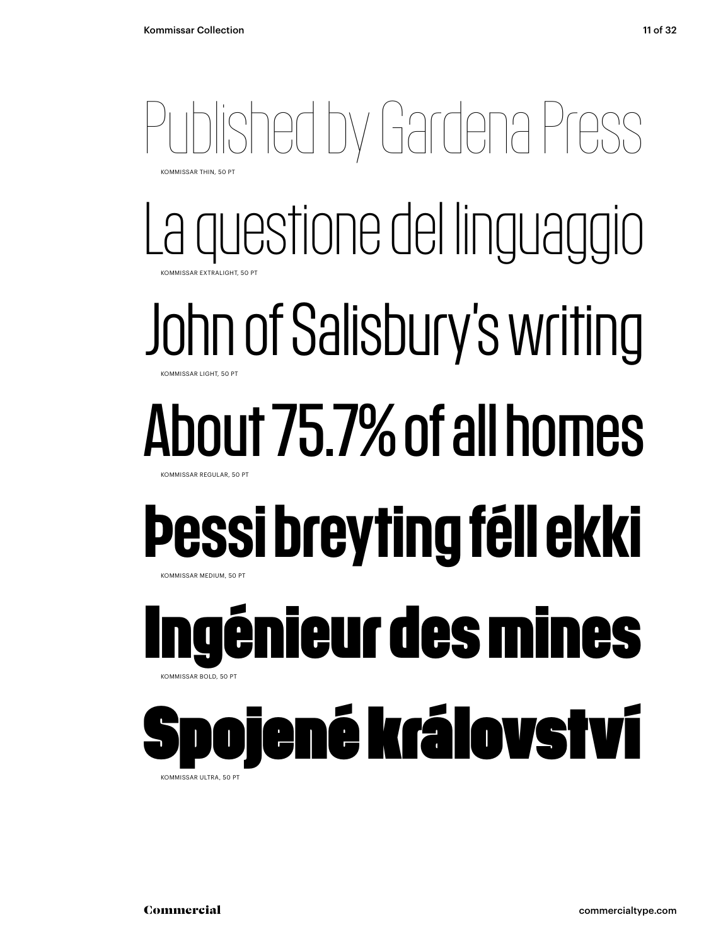### Published by Gardena Press KOMMISSAR THIN, 50 PT

La questione del linguaggio KOMMISSAR EXTRALIGHT, 50 PT

### John of Salisbury's writing **KOMMISSAR LIGHT, 50 PT**

### About 75.7% of all homes KOMMISSAR REGULAR, 50 PT

### Þessi breyting féll ekki KOMMISSAR MEDIUM, 50 PT

### **Ingénieur des mines**  KOMMISSAR BOLD, 50 PT

### iené království

KOMMISSAR ULTRA, 50 PT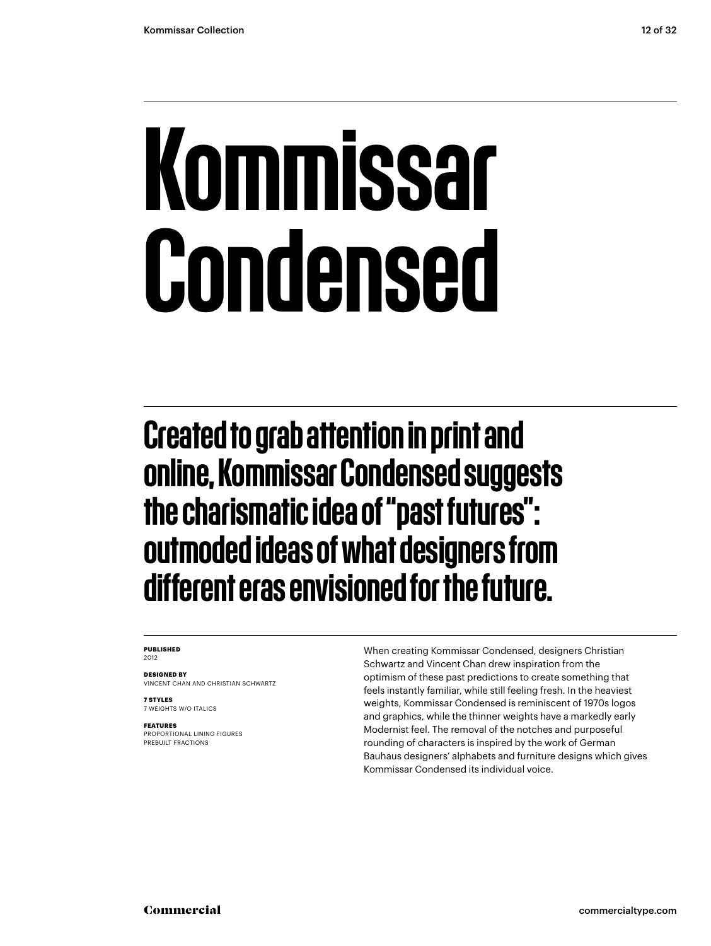## Kommissar Condensed

Created to grab attention in print and online, Kommissar Condensed suggests the charismatic idea of "past futures": outmoded ideas of what designers from different eras envisioned for the future.

#### **PUBLISHED** 2012

**DESIGNED BY** VINCENT CHAN AND CHRISTIAN SCHWARTZ

**7 STYLES**

7 WEIGHTS W/O ITALICS

**FEATURES** PROPORTIONAL LINING FIGURES PREBUILT FRACTIONS

When creating Kommissar Condensed, designers Christian Schwartz and Vincent Chan drew inspiration from the optimism of these past predictions to create something that feels instantly familiar, while still feeling fresh. In the heaviest weights, Kommissar Condensed is reminiscent of 1970s logos and graphics, while the thinner weights have a markedly early Modernist feel. The removal of the notches and purposeful rounding of characters is inspired by the work of German Bauhaus designers' alphabets and furniture designs which gives Kommissar Condensed its individual voice.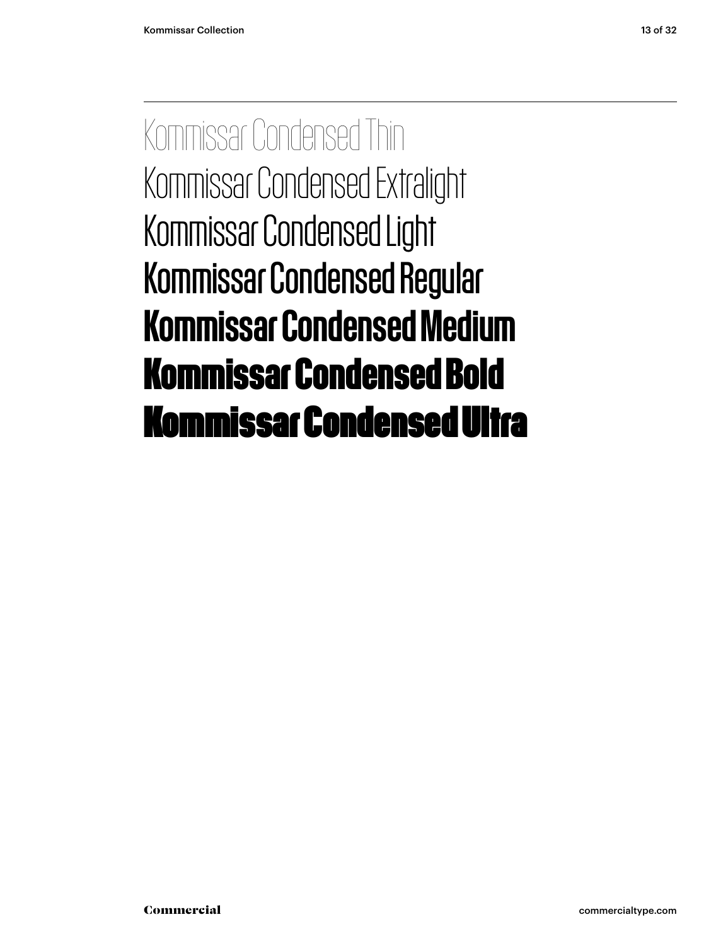Kommissar Condensed Thin Kommissar Condensed Extralight Kommissar Condensed Light Kommissar Condensed Regular Kommissar Condensed Medium **Kommissar Condensed Bold** Kommissar Condensed Ultra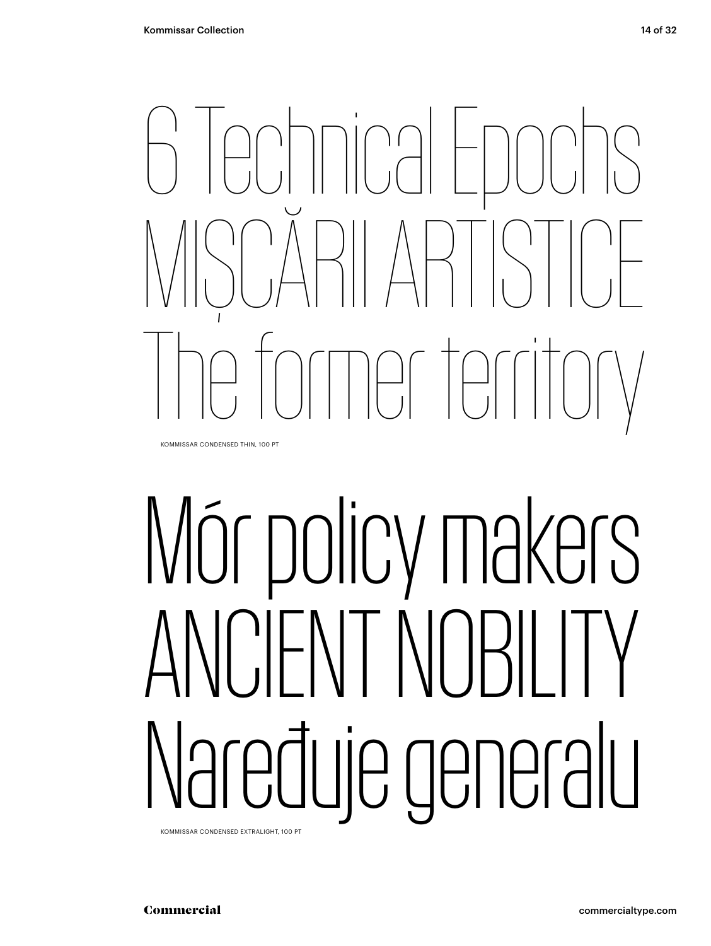

KOMMISSAR CONDENSED THIN, 100 PT

# Mór policy makers ANCIENT NOBILITY Naređuje generalu

KOMMISSAR CONDENSED EXTRALIGHT, 100 PT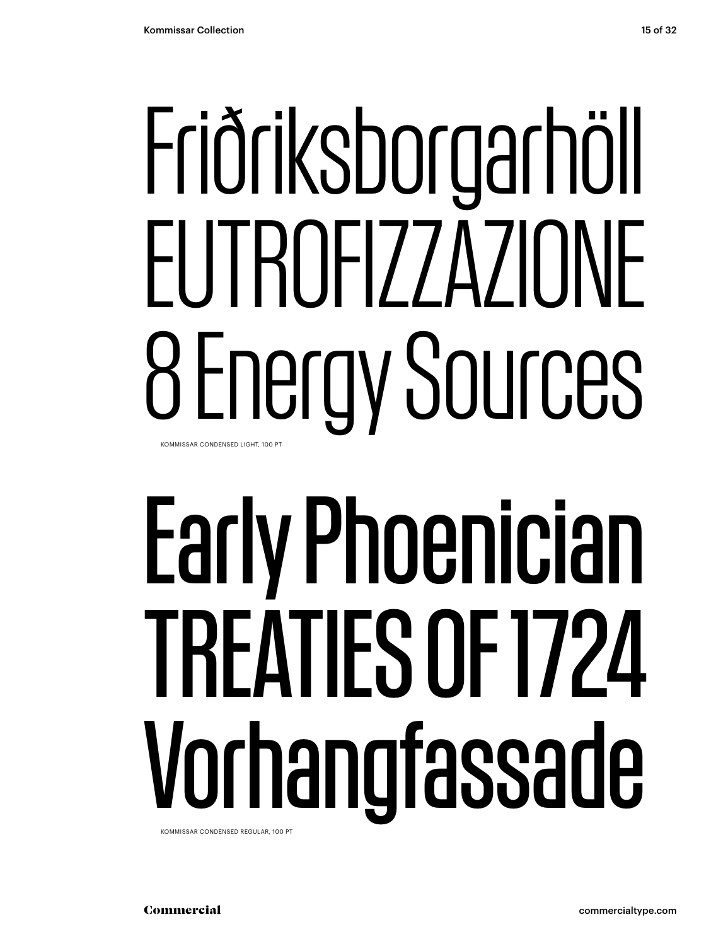## Friðriksborgarhöll EUTROFIZZAZIONE 8 Energy Sources KOMMISSAR CONDENSED LIGHT, 100 PT

# Early Phoenician TREATIES OF 1724 Vorhangfassade

KOMMISSAR CONDENSED REGULAR, 100 PT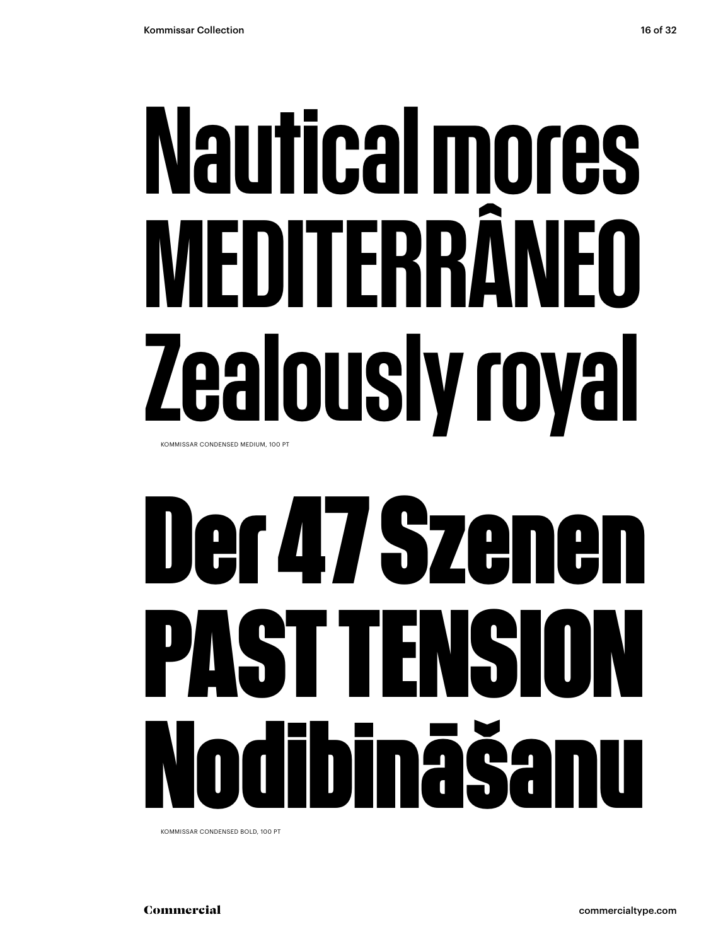## Nautical mores MEDITFRR ealously royal KOMMISSAR CONDENSED MEDIUM, 100 PT

## **Der 47 Szenen** PAST TENSI **Nodibināšanu**

KOMMISSAR CONDENSED BOLD, 100 PT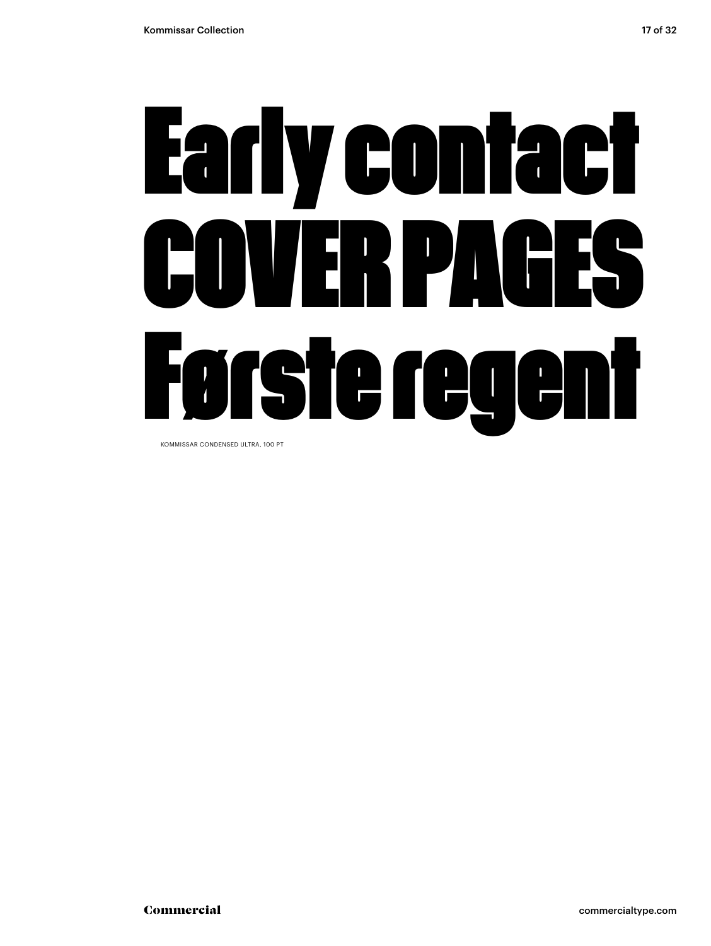# Early contact COVER PAGES Første regent

KOMMISSAR CONDENSED ULTRA, 100 PT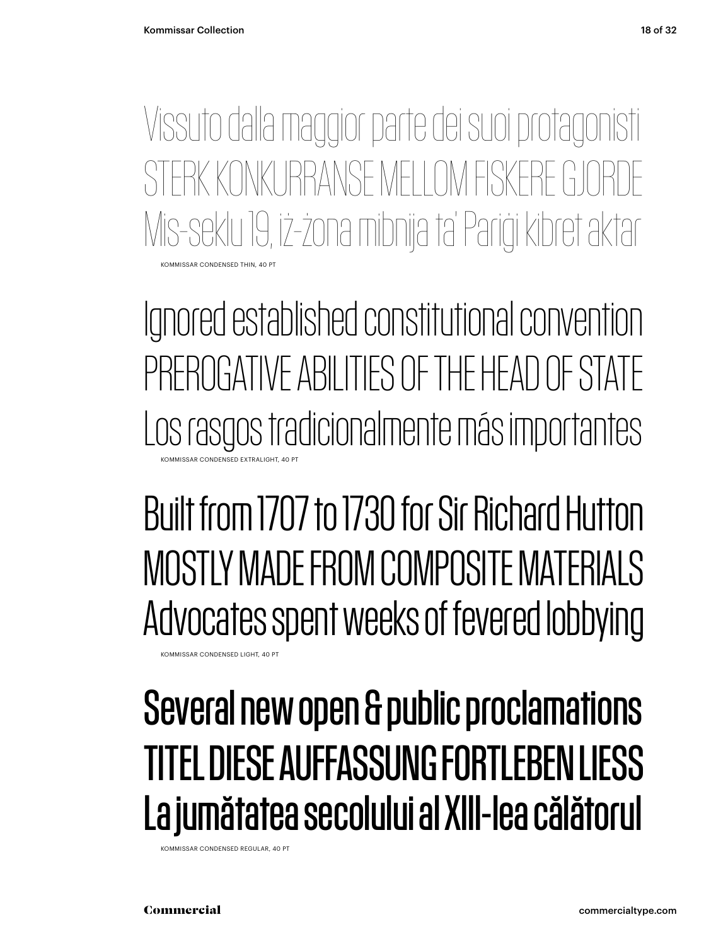OMMISSAR CONDENSED THIN, 40 PT Vissuto dalla maggior parte dei suoi protagonisti STERK KONKLIRRANSE MELLOM FISKERE Mis-seklu 19, iż-żona mibnija ta' Pariġi kibret aktar

Ignored established constitutional convention PREROGATIVE ABILITIES OF THE HEAD OF STATE Los rasgos tradicionalmente más importantes KOMMISSAR CONDENSED EXTRALIGHT, 40 PT

Built from 1707 to 1730 for Sir Richard Hutton MOSTLY MADE FROM COMPOSITE MATERIALS Advocates spent weeks of fevered lobbying

KOMMISSAR CONDENSED LIGHT, 40 PT

### Several new open & public proclamations TITEL DIESE AUFFASSUNG FORTLEBEN LIESS La jumătatea secolului al XIII-lea călătorul

KOMMISSAR CONDENSED REGULAR, 40 PT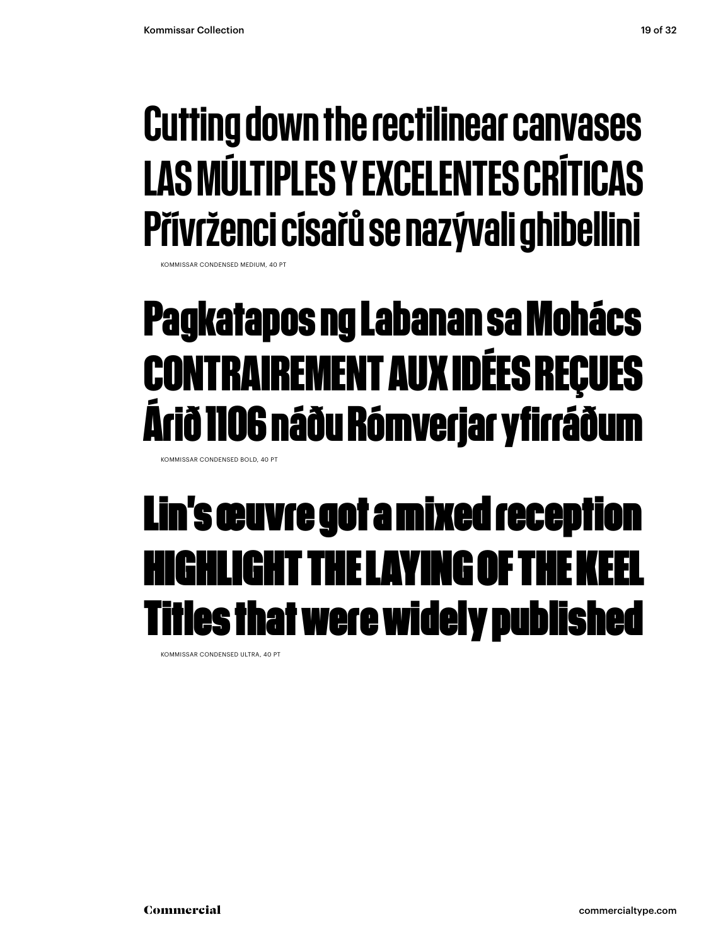### Cutting down the rectilinear canvases LAS MÚLTIPLES Y EXCELENTES CRÍTICAS Přívrženci císařů se nazývali ghibellini

KOMMISSAR CONDENSED MEDIUM

### **Pagkatapos ng Labanan sa Mohács CONTRAIREMENT AUX IDÉES REÇUES Árið 1106 náðu Rómverjar yfirráðum**

KOMMISSAR CONDENSED BOLD, 40 PT

### Lin's œuvre got a mixed reception **HIGHLIGHT THE LAYING OF T** les that were widely published

KOMMISSAR CONDENSED ULTRA, 40 PT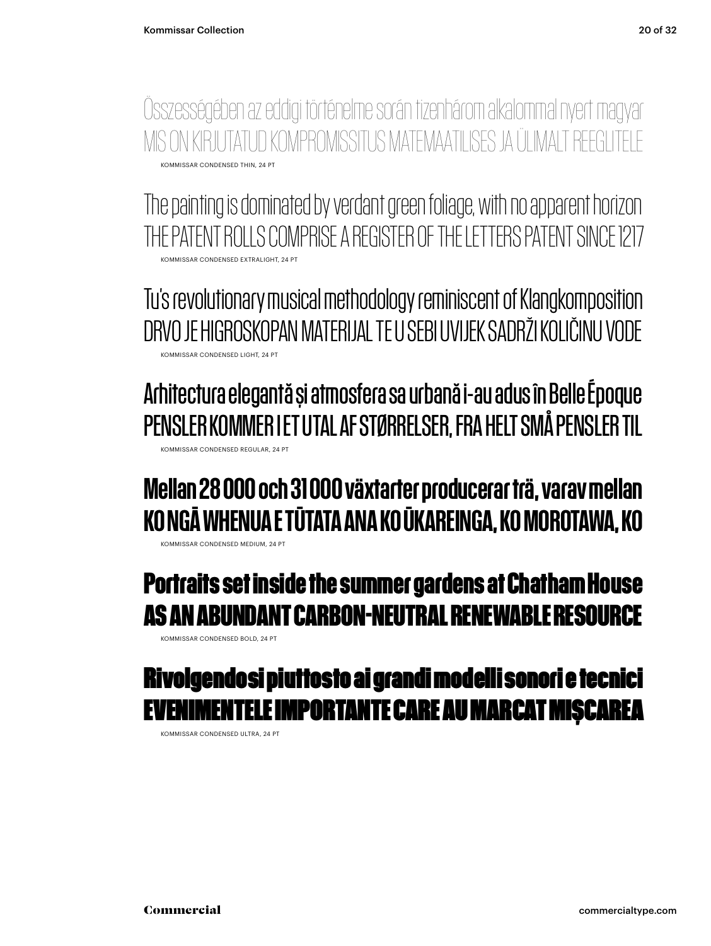KOMMISSAR CONDENSED THIN, 24 PT Összességében az eddigi történelme során tizenhárom alkalommal nyert magyar MIS ON KIRJUTATUD KOMPROMISSITUS MATEMAATILISES JA ÜLIMALT REEGLI

KOMMISSAR CONDENSED EXTRALIGHT, 24 PT The painting is dominated by verdant green foliage, with no apparent horizon THE PATENT ROLLS COMPRISE A REGISTER OF THE LETTERS PATENT SINCE 1217

KOMMISSAR CONDENSED LIGHT, 24 PT Tu's revolutionary musical methodology reminiscent of Klangkomposition DRVO JE HIGROSKOPAN MATERIJAL TE U SEBI UVIJEK SADRŽI KOLIČINU VODE

KOMMISSAR CONDENSED REGULAR, 24 PT Arhitectura elegantă și atmosfera sa urbană i-au adus în Belle Époque PENSLER KOMMER I ET UTAL AF STØRRELSER, FRA HELT SMÅ PENSLER TIL

### Mellan 28 000 och 31 000 växtarter producerar trä, varav mellan KO NGĀ WHENUA E TŪTATA ANA KO ŪKAREINGA, KO MOROTAWA, KO

KOMMISSAR CONDENSED MEDIUM, 24 PT

#### **Portraits set inside the summer gardens at Chatham House AS AN ABUNDANT CARBON-NEUTRAL RENEWABLE RESOURCE**

KOMMISSAR CONDENSED BOLD, 24 PT

#### Rivolgendosi piuttosto ai grandi modelli sonori e tecnici IENTELE IMPORTANTE CARE AU MARCAT MISCAREA

KOMMISSAR CONDENSED ULTRA, 24 PT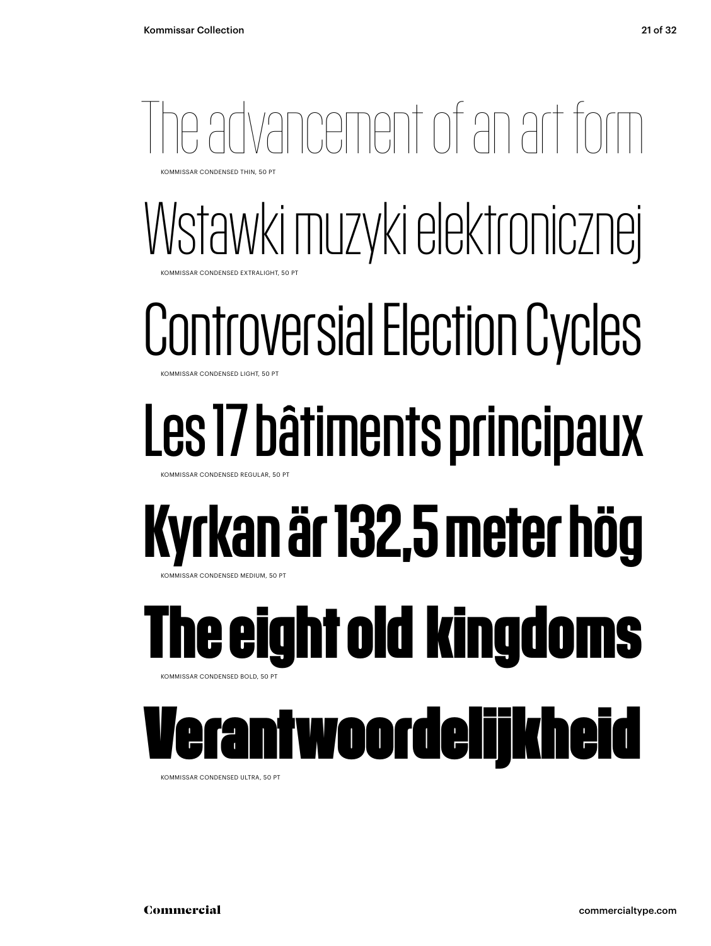## Tvancement of an art for

KOMMISSAR CONDENSED THIN, 50 PT

### Wstawki muzyki elektronicznej **COMMISSAR CONDENSED EXTRALIGHT, 50 PT**

## Controversial Election Cycles

KOMMISSAR CONDENSED LIGHT, 50

## Les 17 bâtiments principaux

KOMMISSAR CONDENSED REGULAR, 50 PT

## Kyrkan är 132,5 meter hög

**MMISSAR CONDENSED MEDIUM, 50 PT** 

### **The eight old kingdoms** KOMMISSAR CONDENSED BOLD, 50 PT

### twoordelijkheid

KOMMISSAR CONDENSED ULTRA, 50 PT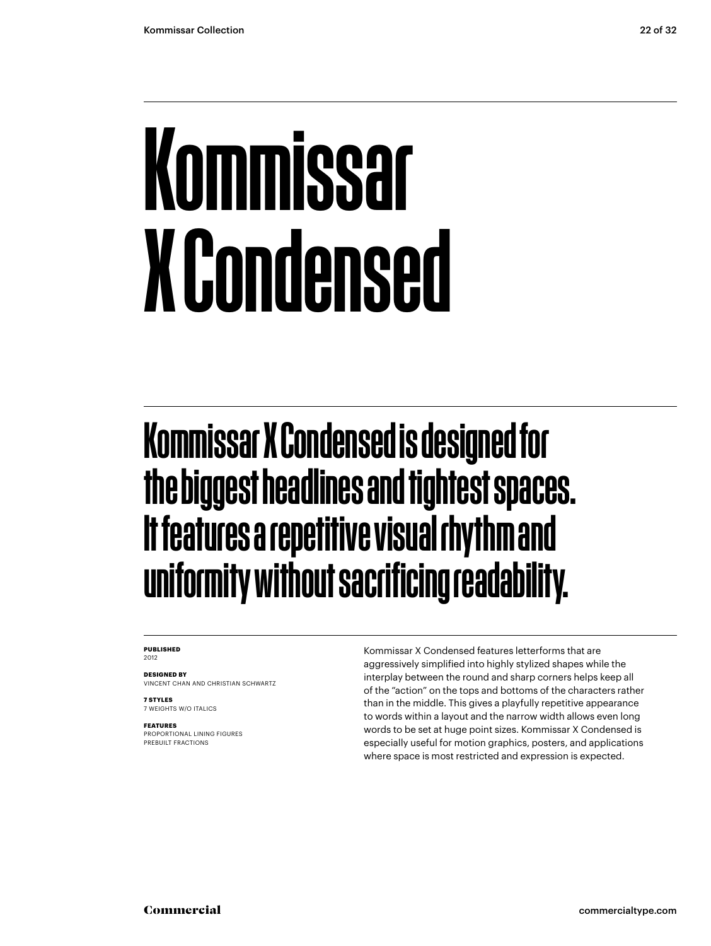## Kommissar X Condensed

### Kommissar X Condensed is designed for the biggest headlines and tightest spaces. It features a repetitive visual rhythm and uniformity without sacrificing readability.

#### **PUBLISHED** 2012

**DESIGNED BY** VINCENT CHAN AND CHRISTIAN SCHWARTZ

**7 STYLES** 7 WEIGHTS W/O ITALICS

**FEATURES**

PROPORTIONAL LINING FIGURES PREBUILT FRACTIONS

Kommissar X Condensed features letterforms that are aggressively simplified into highly stylized shapes while the interplay between the round and sharp corners helps keep all of the "action" on the tops and bottoms of the characters rather than in the middle. This gives a playfully repetitive appearance to words within a layout and the narrow width allows even long words to be set at huge point sizes. Kommissar X Condensed is especially useful for motion graphics, posters, and applications where space is most restricted and expression is expected.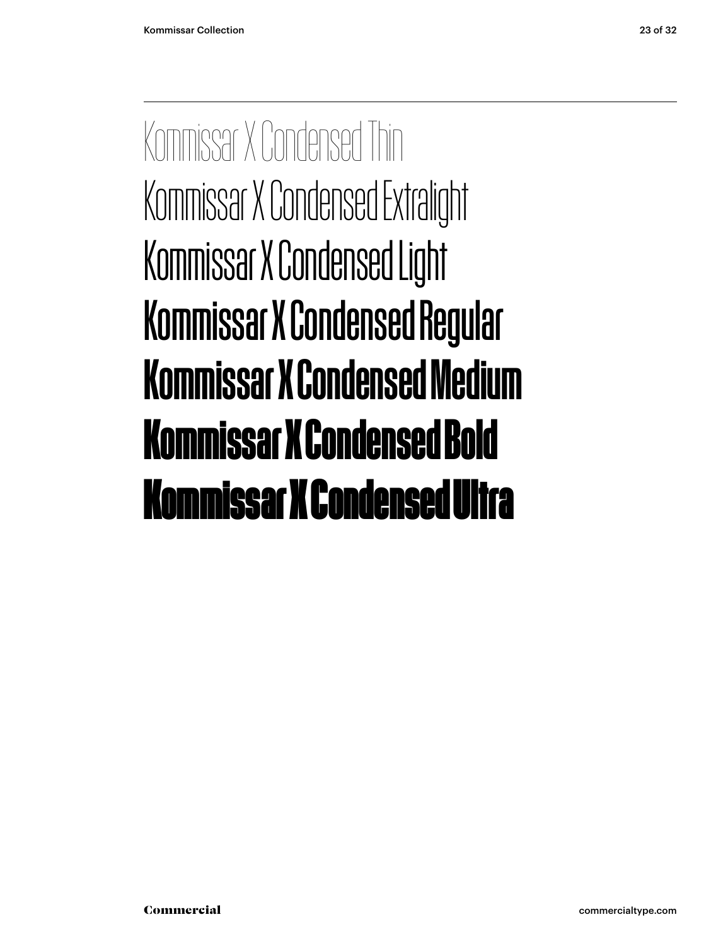Kommissar X Condensed Thin Kommissar X Condensed Extralight Kommissar X Condensed Light Kommissar X Condensed Regular Kommissar X Condensed Medium **Kommissar X Condensed Bold** Kommissar X Condensed Ultra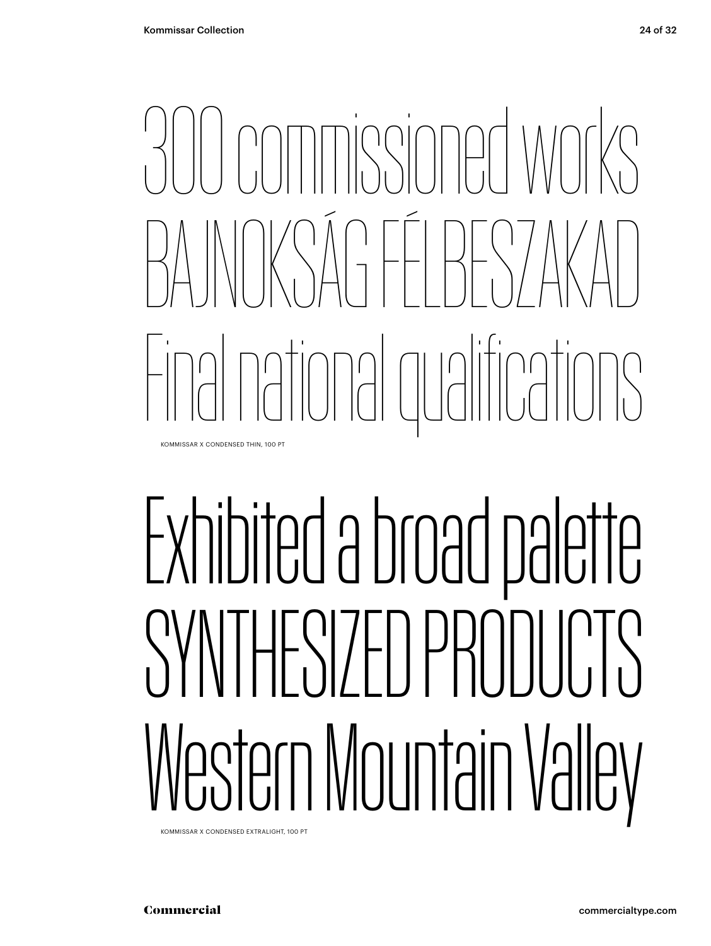## 300 commissioned works BAJNOKSÁG FÉLBESZAKAD Final national qualifications KOMMISSAR X CONDENSED THIN, 100 PT

# Exhibited a broad palette SYNTHESIZED PRODUCTS Western Mountain Valley

KOMMISSAR X CONDENSED EXTRALIGHT, 100 PT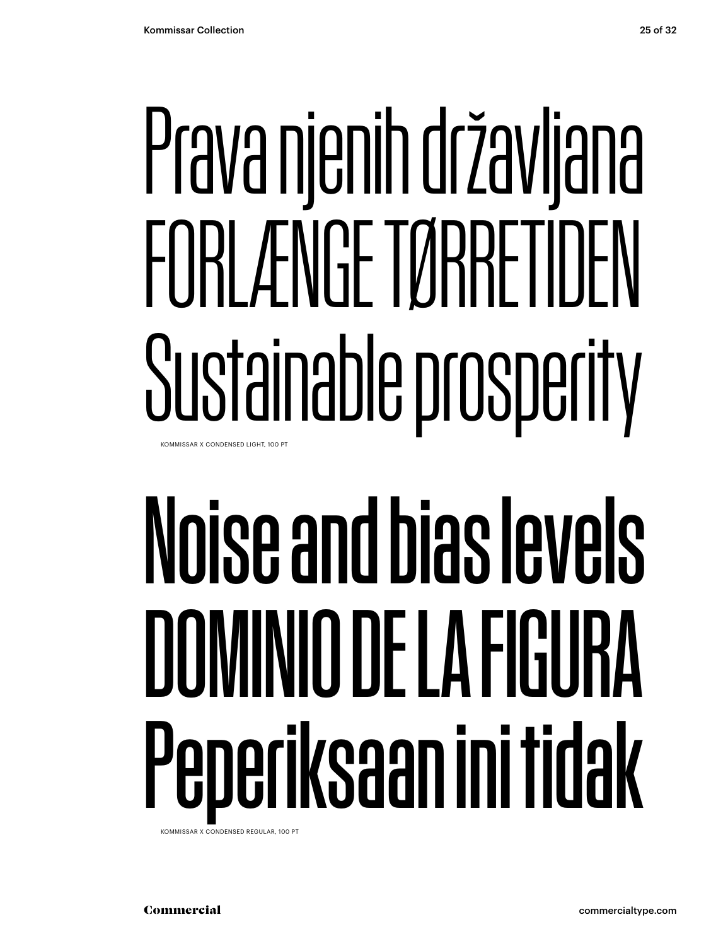# Prava njenih državljana FORLÆNGE TØRRETIDEN Sustainable prosperity

KOMMISSAR X CONDENSED LIGHT, 100 PT

# Noise and bias levels DOMINIO DE LA FIGURA Peperiksaan ini tidak

KOMMISSAR X CONDENSED REGULAR, 100 PT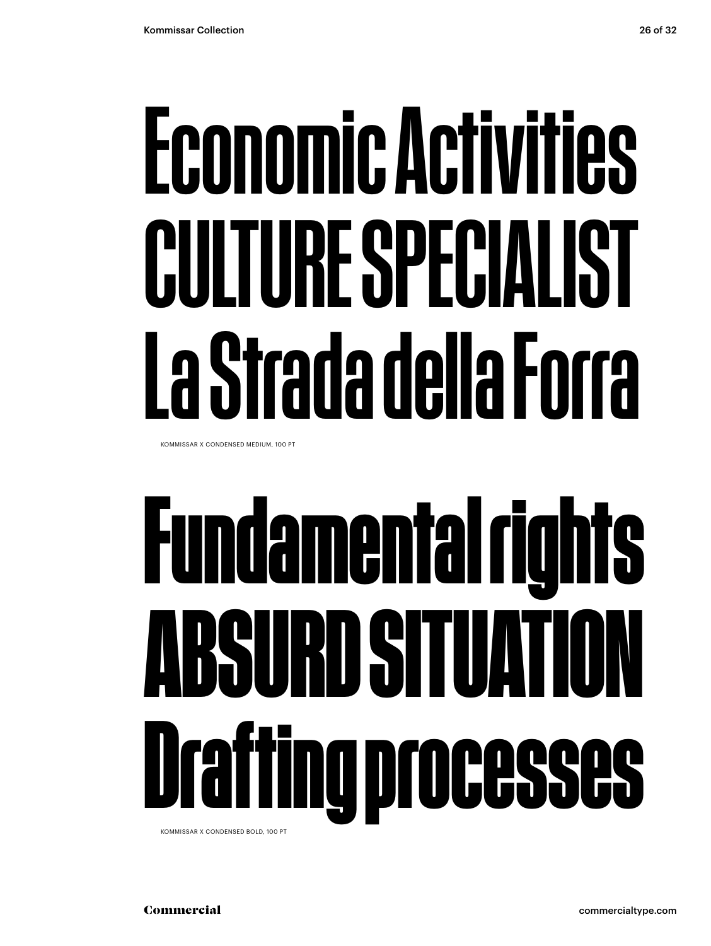# Economic Activities CULTURE SPECIALIST La Strada della Forra

KOMMISSAR X CONDENSED MEDIUM, 100 PT

# **Fundamental rights ABSURD SITUATION Drafting processes**

KOMMISSAR X CONDENSED BOLD, 100 PT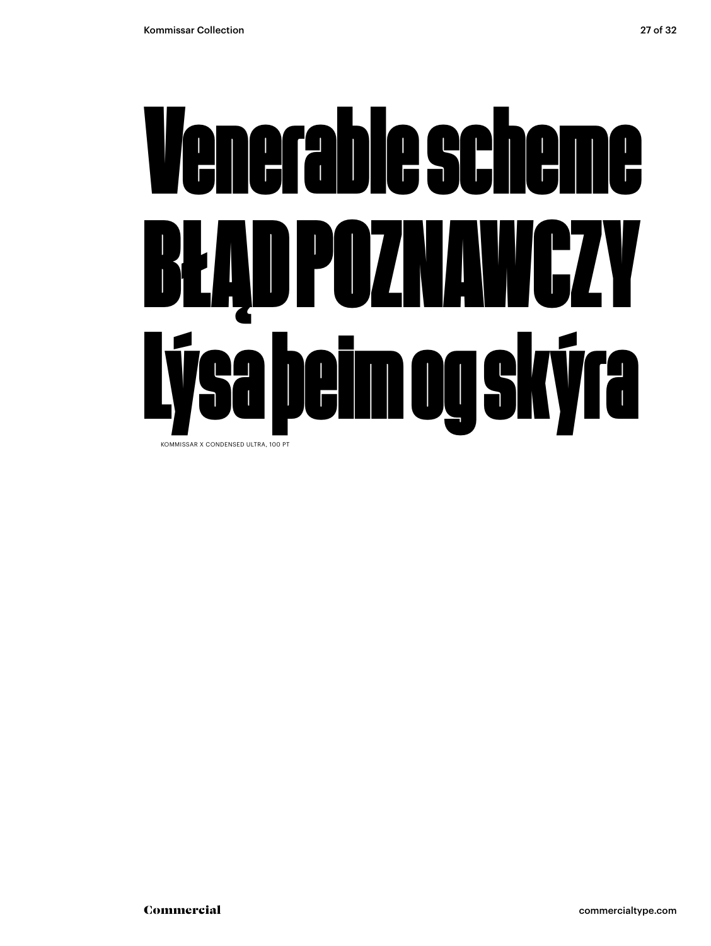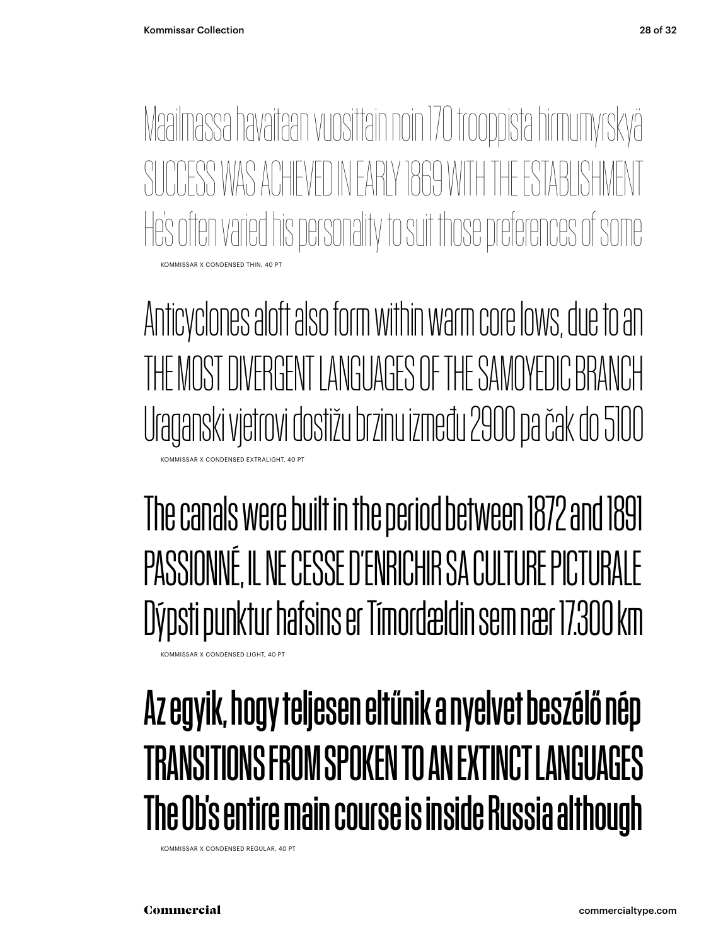KOMMISSAR X CONDENSED THIN, 40 PT Maailmassa havaitaan vuosittain noin 170 trooppista hirmumyrskyä SUCCESS WAS ACHIEVED IN FARIY 1869 WITH THE ESTABLISH He's often varied his personality to suit those preferences of some

Anticyclones aloft also form within warm core lows, due to an THE MOST DIVERGENT LANGUAGES OF THE SAMOYEDIC BRANCH Uraganski vjetrovi dostižu brzinu između 2900 pa čak do 5100 KOMMISSAR X CONDENSED EXTRALIGHT, 40 PT

The canals were built in the period between 1872 and 1891 PASSIONNÉ, IL NE CESSE D'ENRICHIR SA CULTURE PICTURALE Dýpsti punktur hafsins er Tímordældin sem nær 17.300 km

#### KOMMISSAR X CONDENSED LIGHT, 40 PT

### Az egyik, hogy teljesen eltűnik a nyelvet beszélő nép TRANSITIONS FROM SPOKEN TO AN EXTINCT LANGUAGES The Ob's entire main course is inside Russia although

KOMMISSAR X CONDENSED REGULAR, 40 PT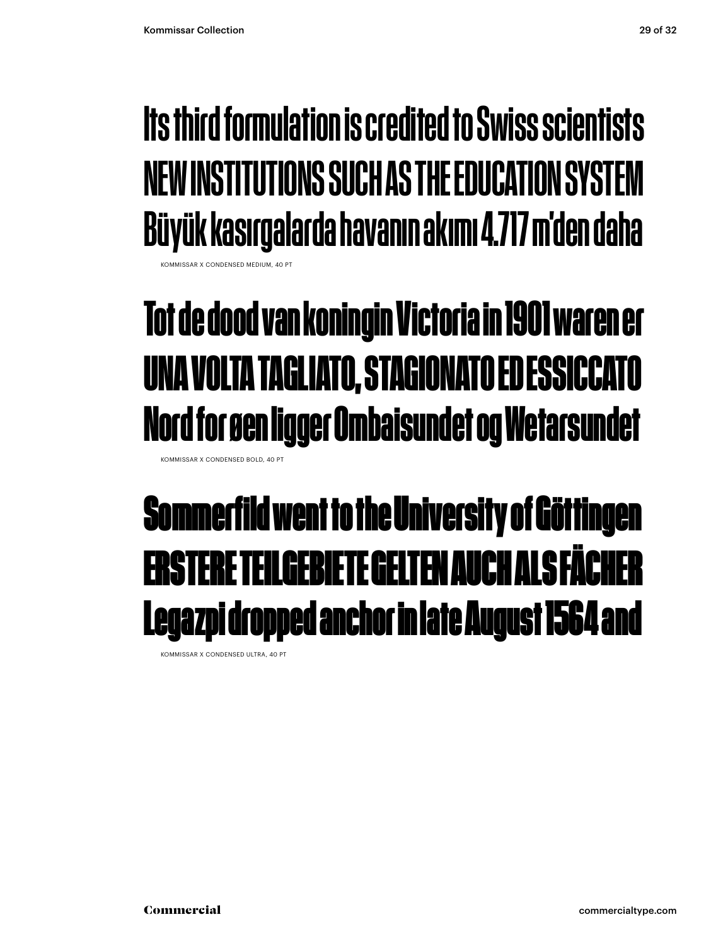### Its third formulation is credited to Swiss scientists NEW INSTITUTIONS SUCH AS THE EDUCATION SYSTEM Büyük kasırgalarda havanın akımı 4.717 m'den daha

**KOMMISSAR X CONDENSED MEDIUM, 40 PT** 

### **Tot de dood van koningin Victoria in 1901 waren er UNA VOLTA TAGLIATO, STAGIONATO ED ESSICCATO Nord for øen ligger Ombaisundet og Wetarsundet**

KOMMISSAR X CONDENSED BOLD, 40 PT

### Sommerfild went to the University of Göttingen ERSTERE TEILGEBIETE GELTEN AUCH ALS FÄCHER Legazpi dropped anchor in late August 1564 and

KOMMISSAR X CONDENSED ULTRA, 40 PT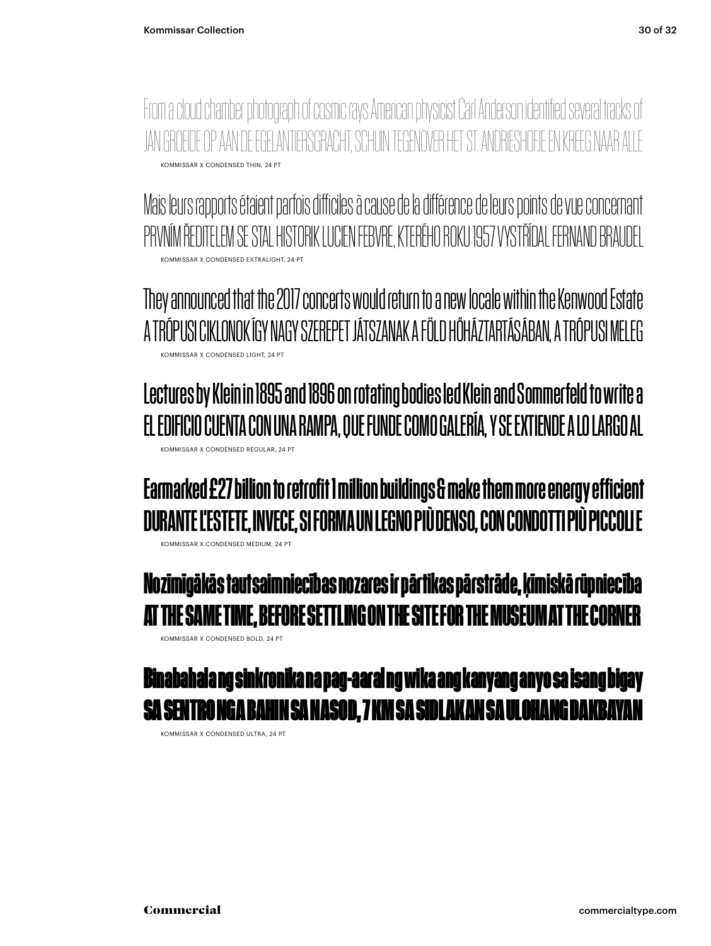KOMMISSAR X CONDENSED THIN, 24 PT From a cloud chamber photograph of cosmic rays American physicist Carl Anderson identified several tracks of JAN GROEIDE OP AAN DE EGELANTIERSGRACHT, SCHUIN TEGENOVER HET ST. ANDRIES

KOMMISSAR X CONDENSED EXTRALIGHT, 24 PT Mais leurs rapports étaient parfois difficiles à cause de la différence de leurs points de vue concernant PRVNÍM ŘEDITELEM SE STAL HISTORIK LUCIEN FEBVRE, KTERÉHO ROKU 1957 VYSTŘÍDAL FERNAND BRAUDEL

KOMMISSAR X CONDENSED LIGHT, 24 PT They announced that the 2017 concerts would return to a new locale within the Kenwood Estate A TRÓPUSI CIKLONOK ÍGY NAGY SZEREPET JÁTSZANAK A FÖLD HŐHÁZTARTÁSÁBAN, A TRÓPUSI MELEG

KOMMISSAR X CONDENSED REGULAR, 24 PT Lectures by Klein in 1895 and 1896 on rotating bodies led Klein and Sommerfeld to write a EL EDIFICIO CUENTA CON UNA RAMPA, QUE FUNDE COMO GALERÍA, Y SE EXTIENDE A LO LARGO AL

KOMMISSAR X CONDENSED MEDIUM, 24 PT Earmarked £27 billion to retrofit 1 million buildings & make them more energy efficient DURANTE L'ESTETE, INVECE, SI FORMA UN LEGNO PIÙ DENSO, CON CONDOTTI PIÙ PICCOLI E

**Nozīmīgākās tautsaimniecības nozares ir pārtikas pārstrāde, ķīmiskā rūpniecība THE SAME TIME, BEFORE SETTLING ON THE SITE FOR THE MUSEUM AT THE CORNFR** 

KOMMISSAR X CONDENSED BOLD, 24 PT

#### Binabahala ng sinkronika na pag-aaral ng wika ang kanyang anyo sa isang bigay 1IN SA NASOD, 7 KM SA S**idlakan sa Ul**o

KOMMISSAR X CONDENSED ULTRA, 24 PT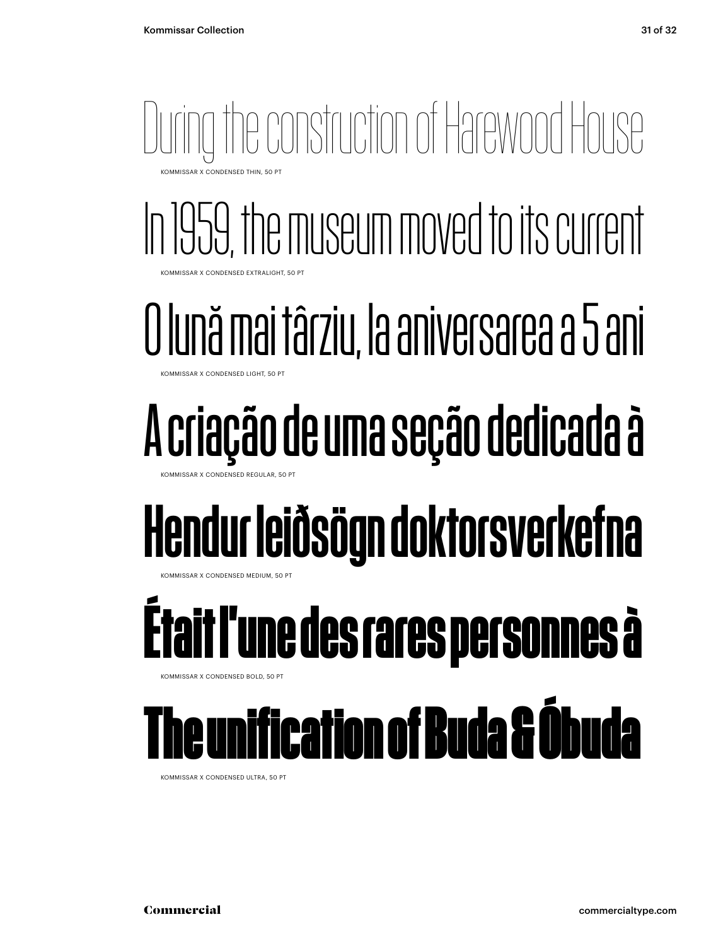During the construction of Harewood House KOMMISSAR X CONDENSED THIN, 50 PT

In 1959, the museum moved to its current KOMMISSAR X CONDENSED EXTRALIGHT, 50 PT

### O lună mai târziu, la aniversarea a 5 ani

MMISSAR X CONDENSED LIGHT, 50 PT

## A criação de uma seção dedicada à

KOMMISSAR X CONDENSED REGULAR

## Hendur leiðsögn doktorsverkefna

**MMISSAR X CONDENSED MEDIUM, 50 PT** 

## **Était l'une des rares personnes à**

KOMMISSAR X CONDENSED BOLD, 50 PT

### The unification of Buda & Óbuda

KOMMISSAR X CONDENSED ULTRA, 50 PT